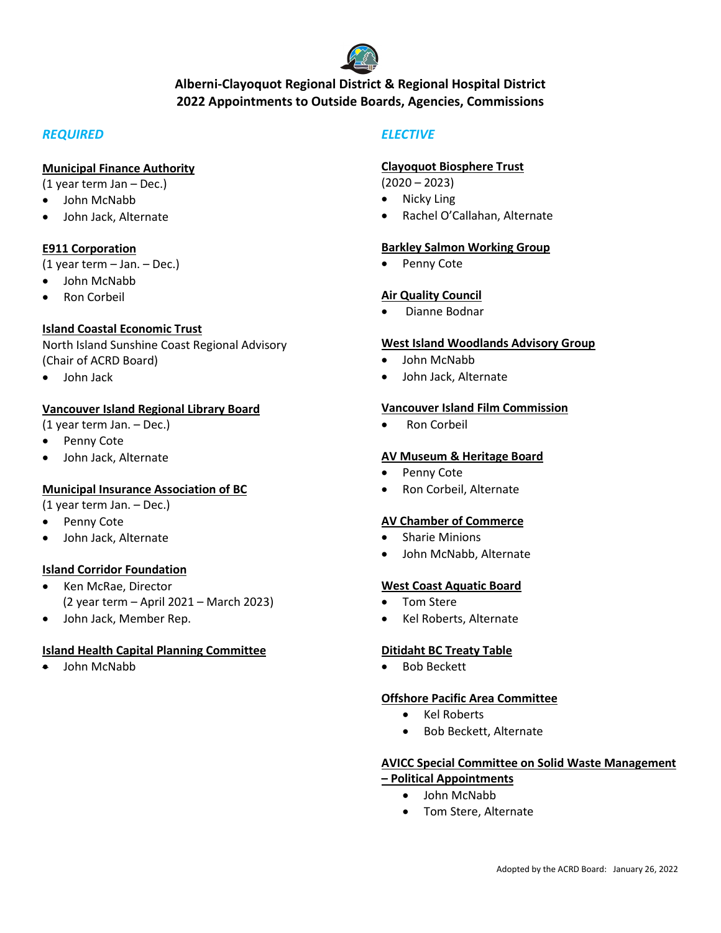

# **Alberni-Clayoquot Regional District & Regional Hospital District 2022 Appointments to Outside Boards, Agencies, Commissions**

# *REQUIRED*

### **Municipal Finance Authority**

(1 year term Jan – Dec.)

- John McNabb
- John Jack, Alternate

### **E911 Corporation**

(1 year term – Jan. – Dec.)

- John McNabb
- Ron Corbeil

# **Island Coastal Economic Trust**

North Island Sunshine Coast Regional Advisory (Chair of ACRD Board)

• John Jack

### **Vancouver Island Regional Library Board**

- (1 year term Jan. Dec.)
- Penny Cote
- John Jack, Alternate

# **Municipal Insurance Association of BC**

- (1 year term Jan. Dec.)
- Penny Cote
- John Jack, Alternate

# **Island Corridor Foundation**

- Ken McRae, Director (2 year term – April 2021 – March 2023)
- John Jack, Member Rep.

# **Island Health Capital Planning Committee**

• John McNabb

# *ELECTIVE*

#### **Clayoquot Biosphere Trust**

(2020 – 2023)

- **Nicky Ling**
- Rachel O'Callahan, Alternate

#### **Barkley Salmon Working Group**

• Penny Cote

### **Air Quality Council**

• Dianne Bodnar

#### **West Island Woodlands Advisory Group**

- John McNabb
- John Jack, Alternate

#### **Vancouver Island Film Commission**

Ron Corbeil

#### **AV Museum & Heritage Board**

- Penny Cote
- Ron Corbeil, Alternate

#### **AV Chamber of Commerce**

- Sharie Minions
- John McNabb, Alternate

#### **West Coast Aquatic Board**

- Tom Stere
- Kel Roberts, Alternate

#### **Ditidaht BC Treaty Table**

• Bob Beckett

#### **Offshore Pacific Area Committee**

- Kel Roberts
- Bob Beckett, Alternate

# **AVICC Special Committee on Solid Waste Management**

# **– Political Appointments**

- John McNabb
- Tom Stere, Alternate